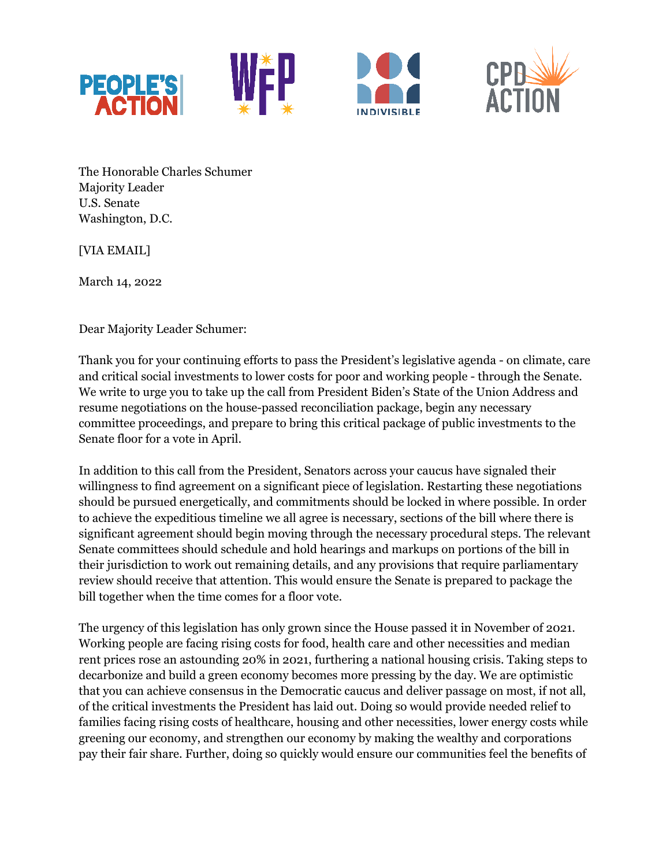







The Honorable Charles Schumer Majority Leader U.S. Senate Washington, D.C.

[VIA EMAIL]

March 14, 2022

Dear Majority Leader Schumer:

Thank you for your continuing efforts to pass the President's legislative agenda - on climate, care and critical social investments to lower costs for poor and working people - through the Senate. We write to urge you to take up the call from President Biden's State of the Union Address and resume negotiations on the house-passed reconciliation package, begin any necessary committee proceedings, and prepare to bring this critical package of public investments to the Senate floor for a vote in April.

In addition to this call from the President, Senators across your caucus have signaled their willingness to find agreement on a significant piece of legislation. Restarting these negotiations should be pursued energetically, and commitments should be locked in where possible. In order to achieve the expeditious timeline we all agree is necessary, sections of the bill where there is significant agreement should begin moving through the necessary procedural steps. The relevant Senate committees should schedule and hold hearings and markups on portions of the bill in their jurisdiction to work out remaining details, and any provisions that require parliamentary review should receive that attention. This would ensure the Senate is prepared to package the bill together when the time comes for a floor vote.

The urgency of this legislation has only grown since the House passed it in November of 2021. Working people are facing rising costs for food, health care and other necessities and median rent prices rose an astounding 20% in 2021, furthering a national housing crisis. Taking steps to decarbonize and build a green economy becomes more pressing by the day. We are optimistic that you can achieve consensus in the Democratic caucus and deliver passage on most, if not all, of the critical investments the President has laid out. Doing so would provide needed relief to families facing rising costs of healthcare, housing and other necessities, lower energy costs while greening our economy, and strengthen our economy by making the wealthy and corporations pay their fair share. Further, doing so quickly would ensure our communities feel the benefits of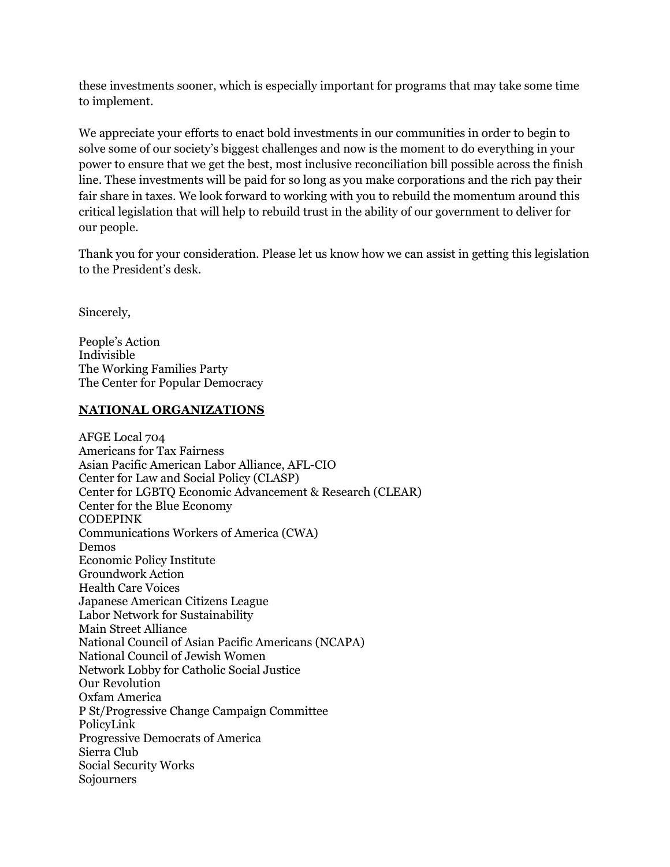these investments sooner, which is especially important for programs that may take some time to implement.

We appreciate your efforts to enact bold investments in our communities in order to begin to solve some of our society's biggest challenges and now is the moment to do everything in your power to ensure that we get the best, most inclusive reconciliation bill possible across the finish line. These investments will be paid for so long as you make corporations and the rich pay their fair share in taxes. We look forward to working with you to rebuild the momentum around this critical legislation that will help to rebuild trust in the ability of our government to deliver for our people.

Thank you for your consideration. Please let us know how we can assist in getting this legislation to the President's desk.

Sincerely,

People's Action Indivisible The Working Families Party The Center for Popular Democracy

# **NATIONAL ORGANIZATIONS**

AFGE Local 704 Americans for Tax Fairness Asian Pacific American Labor Alliance, AFL-CIO Center for Law and Social Policy (CLASP) Center for LGBTQ Economic Advancement & Research (CLEAR) Center for the Blue Economy CODEPINK Communications Workers of America (CWA) Demos Economic Policy Institute Groundwork Action Health Care Voices Japanese American Citizens League Labor Network for Sustainability Main Street Alliance National Council of Asian Pacific Americans (NCAPA) National Council of Jewish Women Network Lobby for Catholic Social Justice Our Revolution Oxfam America P St/Progressive Change Campaign Committee PolicyLink Progressive Democrats of America Sierra Club Social Security Works Sojourners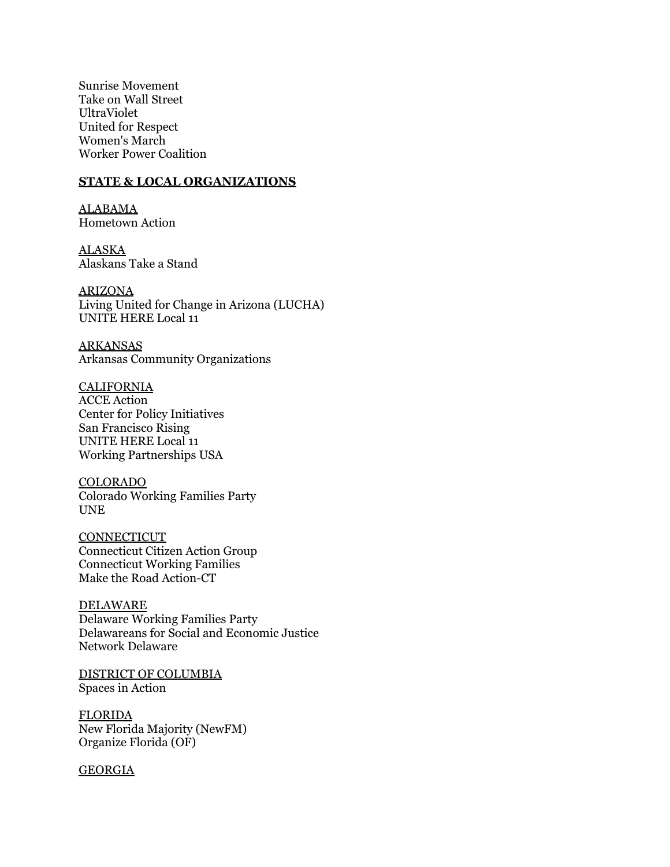Sunrise Movement Take on Wall Street UltraViolet United for Respect Women's March Worker Power Coalition

#### **STATE & LOCAL ORGANIZATIONS**

ALABAMA Hometown Action

ALASKA Alaskans Take a Stand

ARIZONA Living United for Change in Arizona (LUCHA) UNITE HERE Local 11

ARKANSAS Arkansas Community Organizations

CALIFORNIA ACCE Action Center for Policy Initiatives San Francisco Rising UNITE HERE Local 11 Working Partnerships USA

COLORADO Colorado Working Families Party UNE

**CONNECTICUT** Connecticut Citizen Action Group Connecticut Working Families Make the Road Action-CT

DELAWARE Delaware Working Families Party Delawareans for Social and Economic Justice Network Delaware

DISTRICT OF COLUMBIA Spaces in Action

**FLORIDA** New Florida Majority (NewFM) Organize Florida (OF)

**GEORGIA**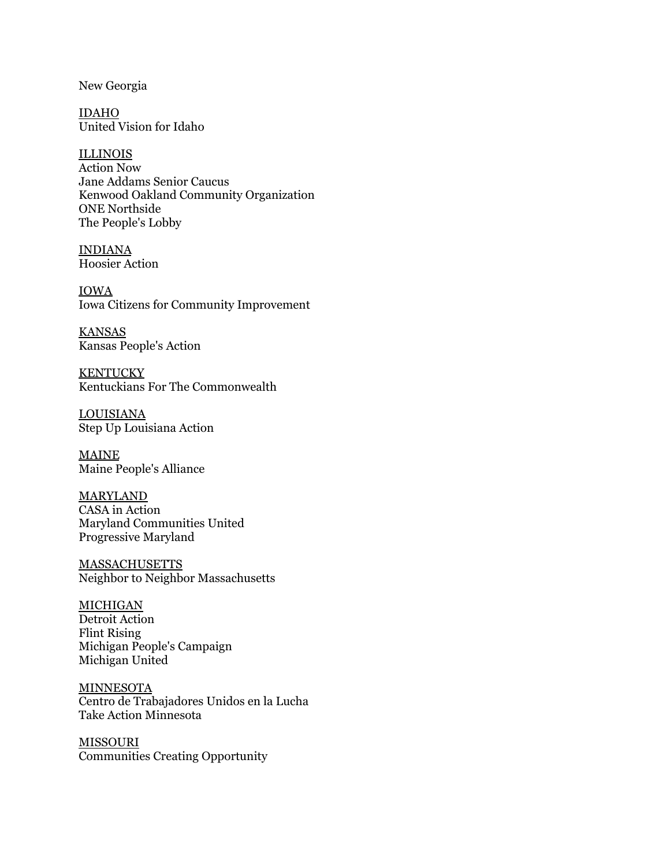New Georgia

IDAHO United Vision for Idaho

ILLINOIS Action Now Jane Addams Senior Caucus Kenwood Oakland Community Organization ONE Northside The People's Lobby

INDIANA Hoosier Action

IOWA Iowa Citizens for Community Improvement

KANSAS Kansas People's Action

**KENTUCKY** Kentuckians For The Commonwealth

LOUISIANA Step Up Louisiana Action

MAINE Maine People's Alliance

MARYLAND CASA in Action Maryland Communities United Progressive Maryland

MASSACHUSETTS Neighbor to Neighbor Massachusetts

MICHIGAN Detroit Action Flint Rising Michigan People's Campaign Michigan United

**MINNESOTA** Centro de Trabajadores Unidos en la Lucha Take Action Minnesota

MISSOURI Communities Creating Opportunity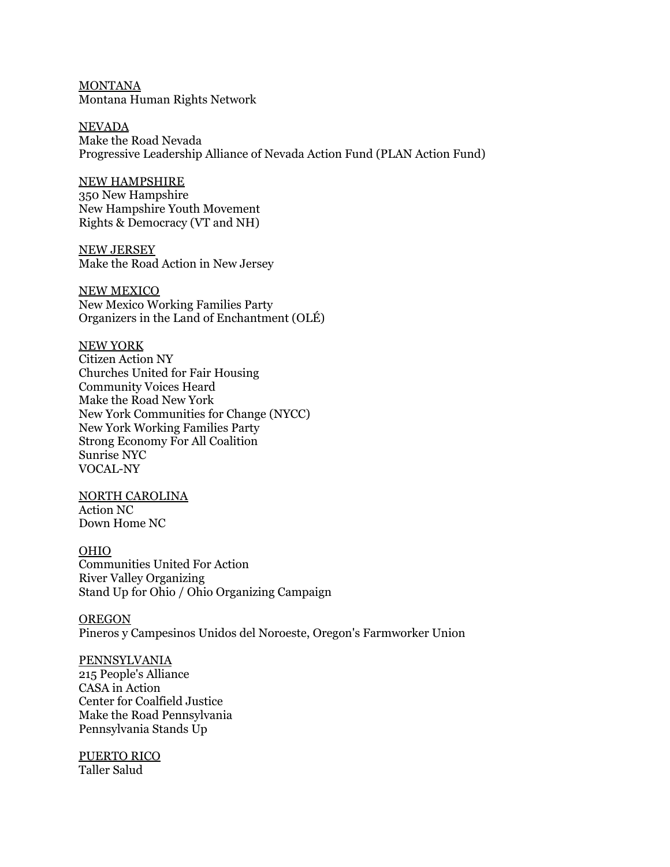MONTANA Montana Human Rights Network

NEVADA Make the Road Nevada Progressive Leadership Alliance of Nevada Action Fund (PLAN Action Fund)

## NEW HAMPSHIRE

350 New Hampshire New Hampshire Youth Movement Rights & Democracy (VT and NH)

NEW JERSEY Make the Road Action in New Jersey

NEW MEXICO New Mexico Working Families Party Organizers in the Land of Enchantment (OLÉ)

NEW YORK

Citizen Action NY Churches United for Fair Housing Community Voices Heard Make the Road New York New York Communities for Change (NYCC) New York Working Families Party Strong Economy For All Coalition Sunrise NYC VOCAL-NY

NORTH CAROLINA Action NC Down Home NC

OHIO Communities United For Action River Valley Organizing Stand Up for Ohio / Ohio Organizing Campaign

**OREGON** Pineros y Campesinos Unidos del Noroeste, Oregon's Farmworker Union

PENNSYLVANIA 215 People's Alliance CASA in Action Center for Coalfield Justice Make the Road Pennsylvania Pennsylvania Stands Up

PUERTO RICO Taller Salud